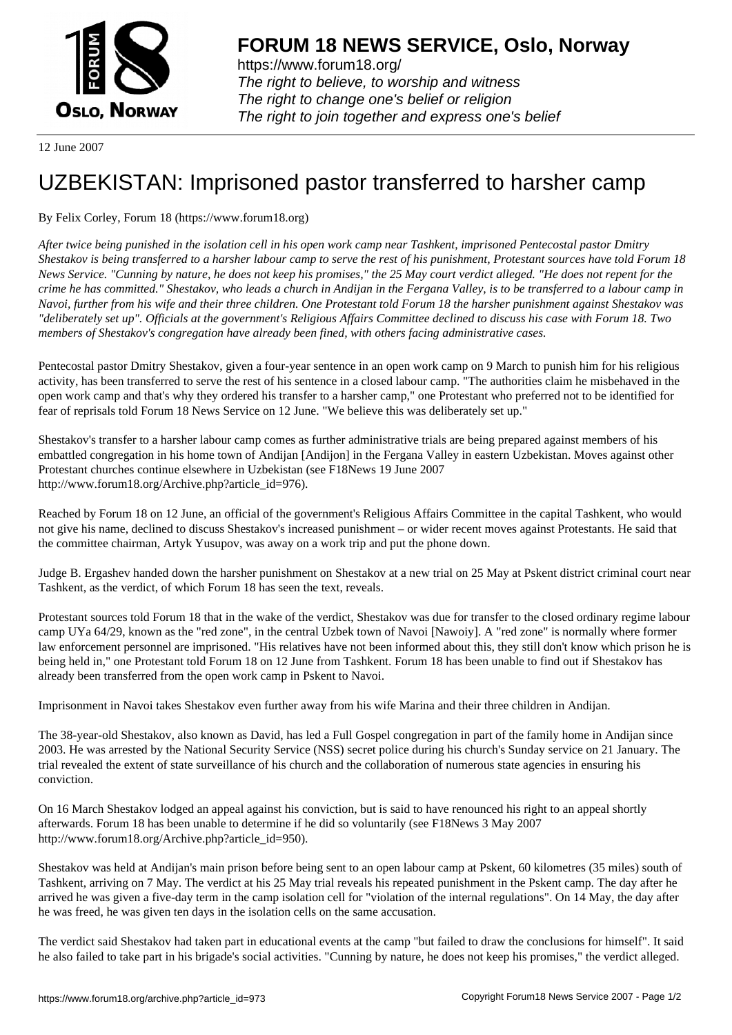

https://www.forum18.org/ The right to believe, to worship and witness The right to change one's belief or religion [The right to join together a](https://www.forum18.org/)nd express one's belief

12 June 2007

## [UZBEKISTAN:](https://www.forum18.org) Imprisoned pastor transferred to harsher camp

## By Felix Corley, Forum 18 (https://www.forum18.org)

*After twice being punished in the isolation cell in his open work camp near Tashkent, imprisoned Pentecostal pastor Dmitry Shestakov is being transferred to a harsher labour camp to serve the rest of his punishment, Protestant sources have told Forum 18 News Service. "Cunning by nature, he does not keep his promises," the 25 May court verdict alleged. "He does not repent for the crime he has committed." Shestakov, who leads a church in Andijan in the Fergana Valley, is to be transferred to a labour camp in Navoi, further from his wife and their three children. One Protestant told Forum 18 the harsher punishment against Shestakov was "deliberately set up". Officials at the government's Religious Affairs Committee declined to discuss his case with Forum 18. Two members of Shestakov's congregation have already been fined, with others facing administrative cases.*

Pentecostal pastor Dmitry Shestakov, given a four-year sentence in an open work camp on 9 March to punish him for his religious activity, has been transferred to serve the rest of his sentence in a closed labour camp. "The authorities claim he misbehaved in the open work camp and that's why they ordered his transfer to a harsher camp," one Protestant who preferred not to be identified for fear of reprisals told Forum 18 News Service on 12 June. "We believe this was deliberately set up."

Shestakov's transfer to a harsher labour camp comes as further administrative trials are being prepared against members of his embattled congregation in his home town of Andijan [Andijon] in the Fergana Valley in eastern Uzbekistan. Moves against other Protestant churches continue elsewhere in Uzbekistan (see F18News 19 June 2007 http://www.forum18.org/Archive.php?article\_id=976).

Reached by Forum 18 on 12 June, an official of the government's Religious Affairs Committee in the capital Tashkent, who would not give his name, declined to discuss Shestakov's increased punishment – or wider recent moves against Protestants. He said that the committee chairman, Artyk Yusupov, was away on a work trip and put the phone down.

Judge B. Ergashev handed down the harsher punishment on Shestakov at a new trial on 25 May at Pskent district criminal court near Tashkent, as the verdict, of which Forum 18 has seen the text, reveals.

Protestant sources told Forum 18 that in the wake of the verdict, Shestakov was due for transfer to the closed ordinary regime labour camp UYa 64/29, known as the "red zone", in the central Uzbek town of Navoi [Nawoiy]. A "red zone" is normally where former law enforcement personnel are imprisoned. "His relatives have not been informed about this, they still don't know which prison he is being held in," one Protestant told Forum 18 on 12 June from Tashkent. Forum 18 has been unable to find out if Shestakov has already been transferred from the open work camp in Pskent to Navoi.

Imprisonment in Navoi takes Shestakov even further away from his wife Marina and their three children in Andijan.

The 38-year-old Shestakov, also known as David, has led a Full Gospel congregation in part of the family home in Andijan since 2003. He was arrested by the National Security Service (NSS) secret police during his church's Sunday service on 21 January. The trial revealed the extent of state surveillance of his church and the collaboration of numerous state agencies in ensuring his conviction.

On 16 March Shestakov lodged an appeal against his conviction, but is said to have renounced his right to an appeal shortly afterwards. Forum 18 has been unable to determine if he did so voluntarily (see F18News 3 May 2007 http://www.forum18.org/Archive.php?article\_id=950).

Shestakov was held at Andijan's main prison before being sent to an open labour camp at Pskent, 60 kilometres (35 miles) south of Tashkent, arriving on 7 May. The verdict at his 25 May trial reveals his repeated punishment in the Pskent camp. The day after he arrived he was given a five-day term in the camp isolation cell for "violation of the internal regulations". On 14 May, the day after he was freed, he was given ten days in the isolation cells on the same accusation.

The verdict said Shestakov had taken part in educational events at the camp "but failed to draw the conclusions for himself". It said he also failed to take part in his brigade's social activities. "Cunning by nature, he does not keep his promises," the verdict alleged.